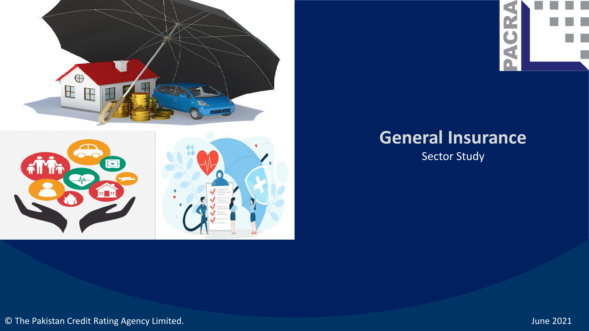



# **General Insurance**

Sector Study

© The Pakistan Credit Rating Agency Limited. June 2021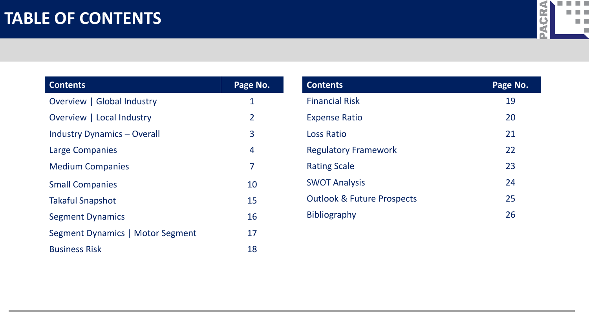

| <b>Contents</b>                    | Page No.       |
|------------------------------------|----------------|
| Overview   Global Industry         | 1              |
| Overview   Local Industry          | $\overline{2}$ |
| <b>Industry Dynamics - Overall</b> | 3              |
| Large Companies                    | 4              |
| <b>Medium Companies</b>            | 7              |
| <b>Small Companies</b>             | 10             |
| <b>Takaful Snapshot</b>            | 15             |
| <b>Segment Dynamics</b>            | 16             |
| Segment Dynamics   Motor Segment   | 17             |
| <b>Business Risk</b>               | 18             |

| <b>Contents</b>                       | Page No. |
|---------------------------------------|----------|
| <b>Financial Risk</b>                 | 19       |
| <b>Expense Ratio</b>                  | 20       |
| <b>Loss Ratio</b>                     | 21       |
| <b>Regulatory Framework</b>           | 22       |
| <b>Rating Scale</b>                   | 23       |
| <b>SWOT Analysis</b>                  | 24       |
| <b>Outlook &amp; Future Prospects</b> | 25       |
| <b>Bibliography</b>                   | 26       |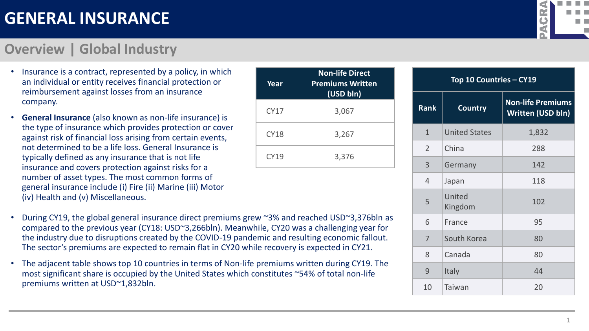#### **Overview | Global Industry**

- Insurance is a contract, represented by a policy, in which an individual or entity receives financial protection or reimbursement against losses from an insurance company.
- **General Insurance** (also known as non-life insurance) is the type of insurance which provides protection or cover against risk of financial loss arising from certain events, not determined to be a life loss. General Insurance is typically defined as any insurance that is not life insurance and covers protection against risks for a number of asset types. The most common forms of general insurance include (i) Fire (ii) Marine (iii) Motor (iv) Health and (v) Miscellaneous.

| Year        | <b>Non-life Direct</b><br><b>Premiums Written</b><br>(USD bln) |
|-------------|----------------------------------------------------------------|
| <b>CY17</b> | 3,067                                                          |
| <b>CY18</b> | 3,267                                                          |
| <b>CY19</b> | 3,376                                                          |

- During CY19, the global general insurance direct premiums grew ~3% and reached USD~3,376bln as compared to the previous year (CY18: USD~3,266bln). Meanwhile, CY20 was a challenging year for the industry due to disruptions created by the COVID-19 pandemic and resulting economic fallout. The sector's premiums are expected to remain flat in CY20 while recovery is expected in CY21.
- The adjacent table shows top 10 countries in terms of Non-life premiums written during CY19. The most significant share is occupied by the United States which constitutes ~54% of total non-life premiums written at USD~1,832bln.



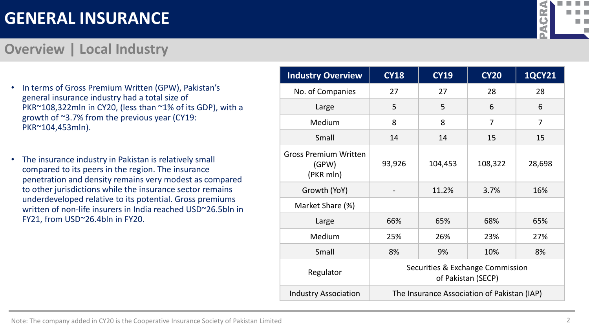Note: The company added in CY20 is the Cooperative Insurance Society of Pakistan Limited 2

### **GENERAL INSURANCE**

#### **Overview | Local Industry**

- In terms of Gross Premium Written (GPW), Pakistan's general insurance industry had a total size of PKR~108,322mln in CY20, (less than ~1% of its GDP), with a growth of ~3.7% from the previous year (CY19: PKR~104,453mln).
- The insurance industry in Pakistan is relatively small compared to its peers in the region. The insurance penetration and density remains very modest as compared to other jurisdictions while the insurance sector remains underdeveloped relative to its potential. Gross premiums written of non-life insurers in India reached USD~26.5bln in FY21, from USD~26.4bln in FY20.

| <b>Industry Overview</b>                           | <b>CY18</b>                                            | <b>CY19</b>                                 | <b>CY20</b> | <b>1QCY21</b>  |  |  |  |
|----------------------------------------------------|--------------------------------------------------------|---------------------------------------------|-------------|----------------|--|--|--|
| No. of Companies                                   | 27                                                     | 27                                          | 28          | 28             |  |  |  |
| Large                                              | 5                                                      | 5                                           | 6           | 6              |  |  |  |
| Medium                                             | 8                                                      | 8                                           | 7           | $\overline{7}$ |  |  |  |
| Small                                              | 14                                                     | 14                                          | 15          | 15             |  |  |  |
| <b>Gross Premium Written</b><br>(GPW)<br>(PKR mln) | 93,926                                                 | 104,453                                     | 108,322     | 28,698         |  |  |  |
| Growth (YoY)                                       |                                                        | 11.2%                                       | 3.7%        | 16%            |  |  |  |
| Market Share (%)                                   |                                                        |                                             |             |                |  |  |  |
| Large                                              | 66%                                                    | 65%                                         | 68%         | 65%            |  |  |  |
| Medium                                             | 25%                                                    | 26%                                         | 23%         | 27%            |  |  |  |
| Small                                              | 8%                                                     | 9%                                          | 10%         | 8%             |  |  |  |
| Regulator                                          | Securities & Exchange Commission<br>of Pakistan (SECP) |                                             |             |                |  |  |  |
| <b>Industry Association</b>                        |                                                        | The Insurance Association of Pakistan (IAP) |             |                |  |  |  |

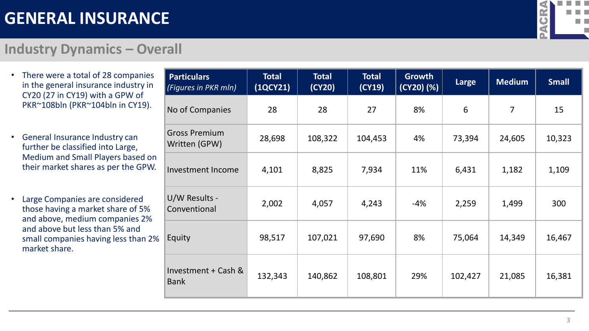

#### **Industry Dynamics – Overall**

- There were a total of 28 companies in the general insurance industry in CY20 (27 in CY19) with a GPW of PKR~108bln (PKR~104bln in CY19).
- General Insurance Industry can further be classified into Large, Medium and Small Players based on their market shares as per the GPW.
- Large Companies are considered those having a market share of 5% and above, medium companies 2% and above but less than 5% and small companies having less than 2% market share.

| <b>Particulars</b><br>(Figures in PKR mln) | <b>Total</b><br>(1QCY21) | <b>Total</b><br>(CY20) | <b>Total</b><br>(CY19) | <b>Growth</b><br>(CY20) (%) | Large   | <b>Medium</b>  | <b>Small</b> |
|--------------------------------------------|--------------------------|------------------------|------------------------|-----------------------------|---------|----------------|--------------|
| No of Companies                            | 28                       | 28                     | 27                     | 8%                          | 6       | $\overline{7}$ | 15           |
| <b>Gross Premium</b><br>Written (GPW)      | 28,698                   | 108,322                | 104,453                | 4%                          | 73,394  | 24,605         | 10,323       |
| <b>Investment Income</b>                   | 4,101                    | 8,825                  | 7,934                  | 11%                         | 6,431   | 1,182          | 1,109        |
| U/W Results -<br>Conventional              | 2,002                    | 4,057                  | 4,243                  | $-4%$                       | 2,259   | 1,499          | 300          |
| Equity                                     | 98,517                   | 107,021                | 97,690                 | 8%                          | 75,064  | 14,349         | 16,467       |
| Investment + Cash &<br><b>Bank</b>         | 132,343                  | 140,862                | 108,801                | 29%                         | 102,427 | 21,085         | 16,381       |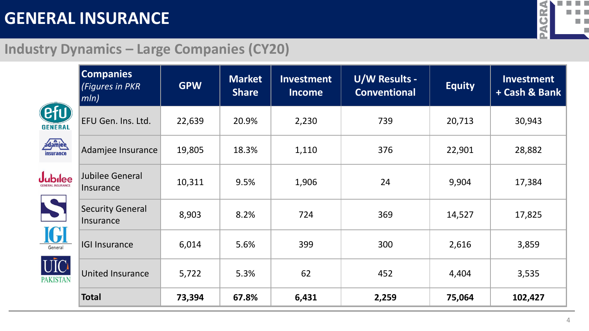

### **Industry Dynamics – Large Companies (CY20)**

|                             | <b>Companies</b><br><b>(Figures in PKR)</b><br>$\parallel mln\rangle$ | <b>GPW</b> | <b>Market</b><br><b>Share</b> | <b>Investment</b><br><b>Income</b> | <b>U/W Results -</b><br><b>Conventional</b> | <b>Equity</b> | <b>Investment</b><br>+ Cash & Bank |
|-----------------------------|-----------------------------------------------------------------------|------------|-------------------------------|------------------------------------|---------------------------------------------|---------------|------------------------------------|
| efu)<br><b>GENERAL</b>      | EFU Gen. Ins. Ltd.                                                    | 22,639     | 20.9%                         | 2,230                              | 739                                         | 20,713        | 30,943                             |
| adamjee<br><i>insurance</i> | Adamjee Insurance                                                     | 19,805     | 18.3%                         | 1,110                              | 376                                         | 22,901        | 28,882                             |
| <b>ubilee</b>               | Jubilee General<br>Insurance                                          | 10,311     | 9.5%                          | 1,906                              | 24                                          | 9,904         | 17,384                             |
| <b>S</b>                    | <b>Security General</b><br>Insurance                                  | 8,903      | 8.2%                          | 724                                | 369                                         | 14,527        | 17,825                             |
| IGI<br>General              | <b>IGI Insurance</b>                                                  | 6,014      | 5.6%                          | 399                                | 300                                         | 2,616         | 3,859                              |
| UĪC<br><b>AKISTAN</b>       | <b>United Insurance</b>                                               | 5,722      | 5.3%                          | 62                                 | 452                                         | 4,404         | 3,535                              |
|                             | <b>Total</b>                                                          | 73,394     | 67.8%                         | 6,431                              | 2,259                                       | 75,064        | 102,427                            |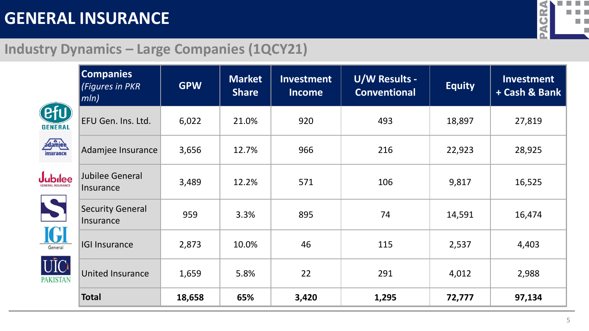

### **Industry Dynamics – Large Companies (1QCY21)**

|                        | <b>Companies</b><br>(Figures in PKR<br>mln) | <b>GPW</b> | <b>Market</b><br><b>Share</b> | <b>Investment</b><br><b>Income</b> | <b>U/W Results -</b><br><b>Conventional</b> | <b>Equity</b> | <b>Investment</b><br>+ Cash & Bank |
|------------------------|---------------------------------------------|------------|-------------------------------|------------------------------------|---------------------------------------------|---------------|------------------------------------|
| efu)<br><b>GENERAL</b> | EFU Gen. Ins. Ltd.                          | 6,022      | 21.0%                         | 920                                | 493                                         | 18,897        | 27,819                             |
| adamjee<br>insurance   | Adamjee Insurance                           | 3,656      | 12.7%                         | 966                                | 216                                         | 22,923        | 28,925                             |
| ubilee                 | <b>Jubilee General</b><br>Insurance         | 3,489      | 12.2%                         | 571                                | 106                                         | 9,817         | 16,525                             |
| S                      | <b>Security General</b><br>Insurance        | 959        | 3.3%                          | 895                                | 74                                          | 14,591        | 16,474                             |
| IGI<br>General         | <b>IGI Insurance</b>                        | 2,873      | 10.0%                         | 46                                 | 115                                         | 2,537         | 4,403                              |
| UĪCI<br><b>AKISTAN</b> | <b>United Insurance</b>                     | 1,659      | 5.8%                          | 22                                 | 291                                         | 4,012         | 2,988                              |
|                        | <b>Total</b>                                | 18,658     | 65%                           | 3,420                              | 1,295                                       | 72,777        | 97,134                             |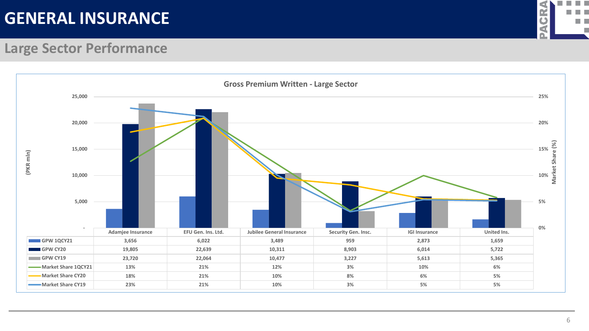

#### **Large Sector Performance**

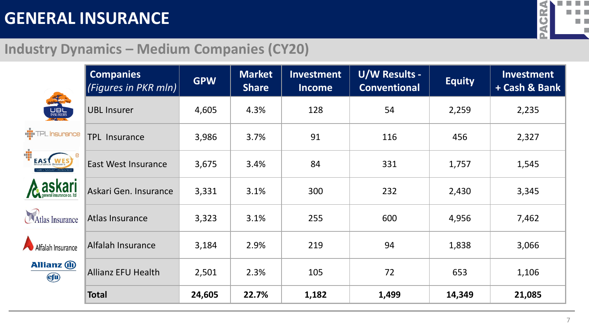

#### **Industry Dynamics – Medium Companies (CY20)**

|                                  | <b>Companies</b><br><i>(Figures in PKR mln)</i> | <b>GPW</b> | <b>Market</b><br><b>Share</b> | <b>Investment</b><br><b>Income</b> | <b>U/W Results -</b><br><b>Conventional</b> | <b>Equity</b> | <b>Investment</b><br>+ Cash & Bank |
|----------------------------------|-------------------------------------------------|------------|-------------------------------|------------------------------------|---------------------------------------------|---------------|------------------------------------|
| The M<br><b>LUBL</b><br>INSURERS | <b>UBL Insurer</b>                              | 4,605      | 4.3%                          | 128                                | 54                                          | 2,259         | 2,235                              |
| <b>II</b> TPL Insurance          | <b>TPL Insurance</b>                            | 3,986      | 3.7%                          | 91                                 | 116                                         | 456           | 2,327                              |
| EAST                             | <b>East West Insurance</b>                      | 3,675      | 3.4%                          | 84                                 | 331                                         | 1,757         | 1,545                              |
| <b>A</b> askari                  | Askari Gen. Insurance                           | 3,331      | 3.1%                          | 300                                | 232                                         | 2,430         | 3,345                              |
| Atlas Insurance                  | Atlas Insurance                                 | 3,323      | 3.1%                          | 255                                | 600                                         | 4,956         | 7,462                              |
| Alfalah Insurance                | Alfalah Insurance                               | 3,184      | 2.9%                          | 219                                | 94                                          | 1,838         | 3,066                              |
| <b>Allianz</b> (ii)<br>Cfu       | <b>Allianz EFU Health</b>                       | 2,501      | 2.3%                          | 105                                | 72                                          | 653           | 1,106                              |
|                                  | <b>Total</b>                                    | 24,605     | 22.7%                         | 1,182                              | 1,499                                       | 14,349        | 21,085                             |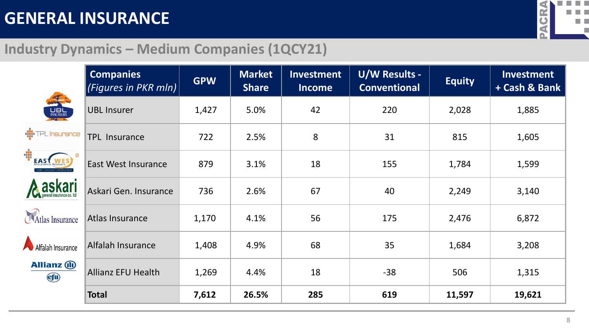E



### **Industry Dynamics – Medium Companies (1QCY21)**

|                                              | <b>Companies</b><br>(Figures in PKR mln) | <b>GPW</b> | <b>Market</b><br><b>Share</b> | <b>Investment</b><br><b>Income</b> | U/W Results -<br><b>Conventional</b> | <b>Equity</b> | <b>Investment</b><br>+ Cash & Bank |
|----------------------------------------------|------------------------------------------|------------|-------------------------------|------------------------------------|--------------------------------------|---------------|------------------------------------|
| <b>LUBL</b><br>INSURERS<br><b>BY COLLECT</b> | <b>UBL Insurer</b>                       | 1,427      | 5.0%                          | 42                                 | 220                                  | 2,028         | 1,885                              |
| <b>TPL</b> Insurance                         | <b>TPL Insurance</b>                     | 722        | 2.5%                          | 8                                  | 31                                   | 815           | 1,605                              |
| <b>EAST WI</b>                               | <b>East West Insurance</b>               | 879        | 3.1%                          | 18                                 | 155                                  | 1,784         | 1,599                              |
| <b>ASKari</b>                                | Askari Gen. Insurance                    | 736        | 2.6%                          | 67                                 | 40                                   | 2,249         | 3,140                              |
| <b>Atlas Insurance</b>                       | Atlas Insurance                          | 1,170      | 4.1%                          | 56                                 | 175                                  | 2,476         | 6,872                              |
| Alfalah Insurance                            | Alfalah Insurance                        | 1,408      | 4.9%                          | 68                                 | 35                                   | 1,684         | 3,208                              |
| <b>Allianz</b> (ii)<br><b>efu</b>            | <b>Allianz EFU Health</b>                | 1,269      | 4.4%                          | 18                                 | $-38$                                | 506           | 1,315                              |
|                                              | <b>Total</b>                             | 7,612      | 26.5%                         | 285                                | 619                                  | 11,597        | 19,621                             |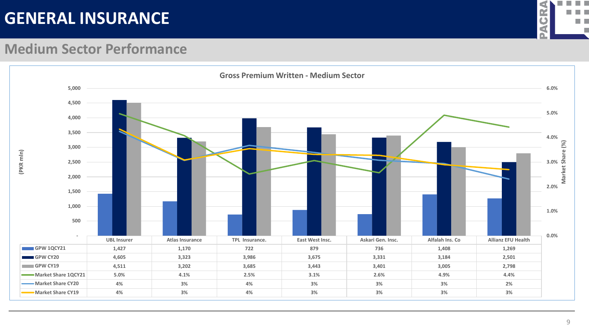

#### **Medium Sector Performance**

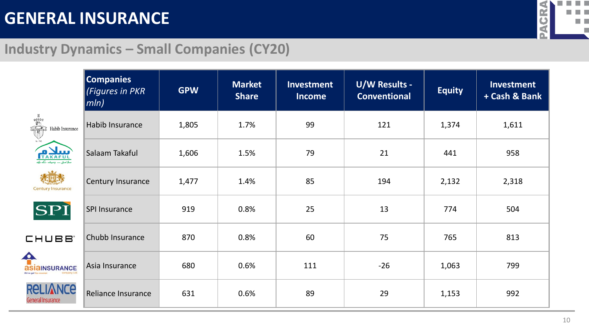

#### **Industry Dynamics – Small Companies (CY20)**

|                                         | <b>Companies</b><br>(Figures in PKR<br>$ mln\rangle$ | <b>GPW</b> | <b>Market</b><br><b>Share</b> | Investment<br><b>Income</b> | <b>U/W Results -</b><br><b>Conventional</b> | <b>Equity</b> | <b>Investment</b><br>+ Cash & Bank |
|-----------------------------------------|------------------------------------------------------|------------|-------------------------------|-----------------------------|---------------------------------------------|---------------|------------------------------------|
| <b>Communication</b><br>Habib Insurance | Habib Insurance                                      | 1,805      | 1.7%                          | 99                          | 121                                         | 1,374         | 1,611                              |
| <b>PRAKAFUL</b>                         | Salaam Takaful                                       | 1,606      | 1.5%                          | 79                          | 21                                          | 441           | 958                                |
| <b>Century Insurance</b>                | Century Insurance                                    | 1,477      | 1.4%                          | 85                          | 194                                         | 2,132         | 2,318                              |
| SPI                                     | <b>SPI Insurance</b>                                 | 919        | 0.8%                          | 25                          | 13                                          | 774           | 504                                |
| CHUBB <sup>®</sup>                      | Chubb Insurance                                      | 870        | 0.8%                          | 60                          | 75                                          | 765           | 813                                |
| <b>asiaINSURANCE</b>                    | Asia Insurance                                       | 680        | 0.6%                          | 111                         | $-26$                                       | 1,063         | 799                                |
| <b>RELIANCE</b><br>General Insurance    | Reliance Insurance                                   | 631        | 0.6%                          | 89                          | 29                                          | 1,153         | 992                                |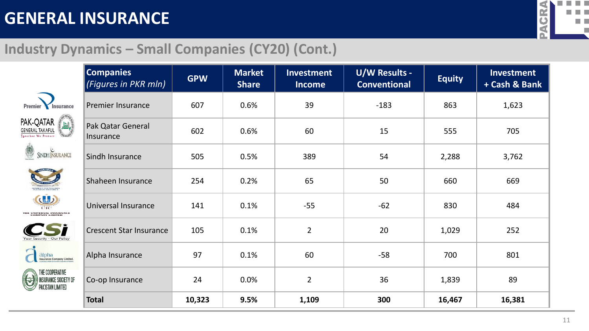

### **Industry Dynamics – Small Companies (CY20) (Cont.)**

|                                                                             | <b>Companies</b><br>(Figures in PKR mln) | <b>GPW</b> | <b>Market</b><br><b>Share</b> | <b>Investment</b><br><b>Income</b> | <b>U/W Results -</b><br><b>Conventional</b> | <b>Equity</b> | Investment<br>+ Cash & Bank |
|-----------------------------------------------------------------------------|------------------------------------------|------------|-------------------------------|------------------------------------|---------------------------------------------|---------------|-----------------------------|
| Premier<br>Insurance                                                        | <b>Premier Insurance</b>                 | 607        | 0.6%                          | 39                                 | $-183$                                      | 863           | 1,623                       |
| <b>PAK-QATAR</b><br>GENERAL TAKAFUL<br>ة <u>القار</u><br>ogether We Protect | Pak Qatar General<br>Insurance           | 602        | 0.6%                          | 60                                 | 15                                          | 555           | 705                         |
| SINDH INSURANCE<br>U                                                        | Sindh Insurance                          | 505        | 0.5%                          | 389                                | 54                                          | 2,288         | 3,762                       |
|                                                                             | Shaheen Insurance                        | 254        | 0.2%                          | 65                                 | 50                                          | 660           | 669                         |
| (ds)<br>THE UNIVERSAL INSURANCE<br>COMPANY LIMITED                          | Universal Insurance                      | 141        | 0.1%                          | $-55$                              | $-62$                                       | 830           | 484                         |
|                                                                             | <b>Crescent Star Insurance</b>           | 105        | 0.1%                          | $\overline{2}$                     | 20                                          | 1,029         | 252                         |
| alpha<br>Insurance Company Limited.                                         | Alpha Insurance                          | 97         | 0.1%                          | 60                                 | $-58$                                       | 700           | 801                         |
| THE COOPERATIVE<br><b>INSURANCE SOCIETY OF</b><br>PAKISTAN LIMITED          | Co-op Insurance                          | 24         | 0.0%                          | $\overline{2}$                     | 36                                          | 1,839         | 89                          |
|                                                                             | <b>Total</b>                             | 10,323     | 9.5%                          | 1,109                              | 300                                         | 16,467        | 16,381                      |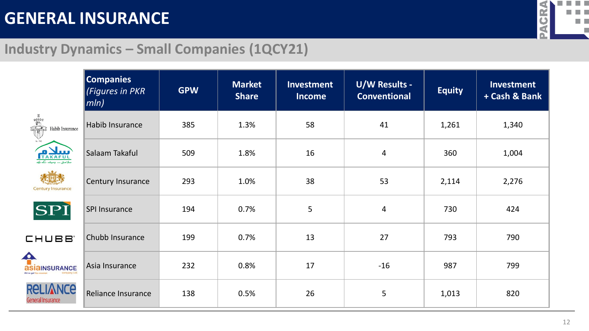

### **Industry Dynamics – Small Companies (1QCY21)**

|                                                                                                                                                                                                                                                         | <b>Companies</b><br>(Figures in PKR<br>$ mln\rangle$ | <b>GPW</b> | <b>Market</b><br><b>Share</b> | Investment<br><b>Income</b> | <b>U/W Results -</b><br><b>Conventional</b> | <b>Equity</b> | Investment<br>+ Cash & Bank |
|---------------------------------------------------------------------------------------------------------------------------------------------------------------------------------------------------------------------------------------------------------|------------------------------------------------------|------------|-------------------------------|-----------------------------|---------------------------------------------|---------------|-----------------------------|
| <b>Contract of the Contract of the Contract of the Contract of the Contract of the Contract of the Contract of the Contract of the Contract of the Contract of the Contract of the Contract of the Contract of the Contract of t</b><br>Habib Insurance | Habib Insurance                                      | 385        | 1.3%                          | 58                          | 41                                          | 1,261         | 1,340                       |
| <b>PRAKAFUL</b>                                                                                                                                                                                                                                         | Salaam Takaful                                       | 509        | 1.8%                          | 16                          | $\overline{\mathbf{4}}$                     | 360           | 1,004                       |
| <b>Century Insurance</b>                                                                                                                                                                                                                                | Century Insurance                                    | 293        | 1.0%                          | 38                          | 53                                          | 2,114         | 2,276                       |
| SPI                                                                                                                                                                                                                                                     | SPI Insurance                                        | 194        | 0.7%                          | 5                           | $\overline{4}$                              | 730           | 424                         |
| CHUBB <sup>®</sup>                                                                                                                                                                                                                                      | Chubb Insurance                                      | 199        | 0.7%                          | 13                          | 27                                          | 793           | 790                         |
| <b>asiaINSURANCE</b>                                                                                                                                                                                                                                    | Asia Insurance                                       | 232        | 0.8%                          | 17                          | $-16$                                       | 987           | 799                         |
| <b>RELIANCE</b><br>General Insurance                                                                                                                                                                                                                    | Reliance Insurance                                   | 138        | 0.5%                          | 26                          | 5                                           | 1,013         | 820                         |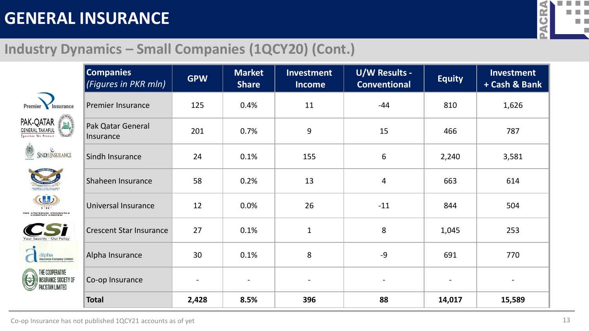

### **Industry Dynamics – Small Companies (1QCY20) (Cont.)**

|                                                                                   | <b>Companies</b><br>(Figures in PKR mln) | <b>GPW</b>               | <b>Market</b><br><b>Share</b> | <b>Investment</b><br><b>Income</b> | <b>U/W Results -</b><br><b>Conventional</b> | <b>Equity</b> | Investment<br>+ Cash & Bank |
|-----------------------------------------------------------------------------------|------------------------------------------|--------------------------|-------------------------------|------------------------------------|---------------------------------------------|---------------|-----------------------------|
| Premier<br>Insurance                                                              | <b>Premier Insurance</b>                 | 125                      | 0.4%                          | 11                                 | $-44$                                       | 810           | 1,626                       |
| <b>PAK-QATAR</b><br>GENERAL TAKAFUL<br>ة <u>القار</u><br>.<br>Together We Protect | Pak Qatar General<br>Insurance           | 201                      | 0.7%                          | 9                                  | 15                                          | 466           | 787                         |
| SINDH INSURANCE<br>Y                                                              | Sindh Insurance                          | 24                       | 0.1%                          | 155                                | 6                                           | 2,240         | 3,581                       |
|                                                                                   | Shaheen Insurance                        | 58                       | 0.2%                          | 13                                 | 4                                           | 663           | 614                         |
| (ds)<br>TTIC<br>THE UNIVERSAL INSURANCE<br>COMPANY LIMITED                        | Universal Insurance                      | 12                       | 0.0%                          | 26                                 | $-11$                                       | 844           | 504                         |
| our Security - Our Policy                                                         | <b>Crescent Star Insurance</b>           | 27                       | 0.1%                          | $\mathbf{1}$                       | 8                                           | 1,045         | 253                         |
| <b>alpha</b><br>Insurance Company Limited.                                        | Alpha Insurance                          | 30                       | 0.1%                          | 8                                  | $-9$                                        | 691           | 770                         |
| THE COOPERATIVE<br><b>INSURANCE SOCIETY OF</b><br>PAKISTAN LIMITED                | Co-op Insurance                          | $\overline{\phantom{0}}$ | $\overline{\phantom{a}}$      |                                    |                                             |               |                             |
|                                                                                   | <b>Total</b>                             | 2,428                    | 8.5%                          | 396                                | 88                                          | 14,017        | 15,589                      |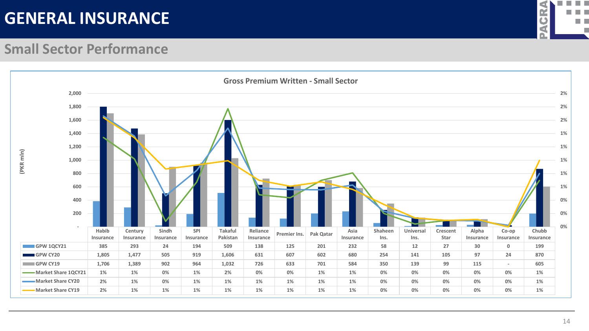

#### **Small Sector Performance**

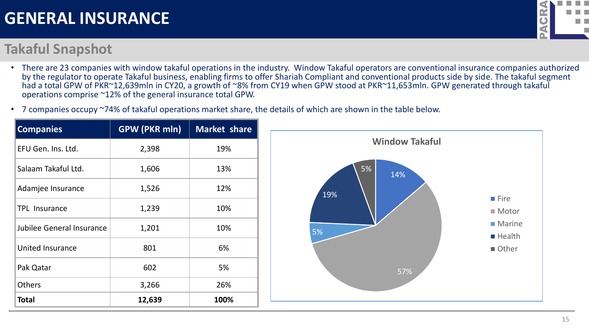#### **Takaful Snapshot**

- There are 23 companies with window takaful operations in the industry. Window Takaful operators are conventional insurance companies authorized by the regulator to operate Takaful business, enabling firms to offer Shariah Compliant and conventional products side by side. The takaful segment had a total GPW of PKR~12,639mln in CY20, a growth of ~8% from CY19 when GPW stood at PKR~11,653mln. GPW generated through takaful operations comprise ~12% of the general insurance total GPW.
- 7 companies occupy ~74% of takaful operations market share, the details of which are shown in the table below.

| <b>Companies</b>          | <b>GPW (PKR mln)</b> | <b>Market share</b> |
|---------------------------|----------------------|---------------------|
| EFU Gen. Ins. Ltd.        | 2,398                | 19%                 |
| Salaam Takaful Ltd.       | 1,606                | 13%                 |
| Adamjee Insurance         | 1,526                | 12%                 |
| <b>TPL Insurance</b>      | 1,239                | 10%                 |
| Jubilee General Insurance | 1,201                | 10%                 |
| <b>United Insurance</b>   | 801                  | 6%                  |
| Pak Qatar                 | 602                  | 5%                  |
| <b>Others</b>             | 3,266                | 26%                 |
| <b>Total</b>              | 12,639               | 100%                |





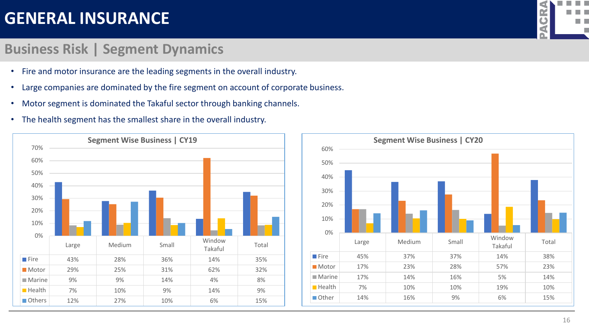#### **Business Risk | Segment Dynamics**

- Fire and motor insurance are the leading segments in the overall industry.
- Large companies are dominated by the fire segment on account of corporate business.
- Motor segment is dominated the Takaful sector through banking channels.
- The health segment has the smallest share in the overall industry.



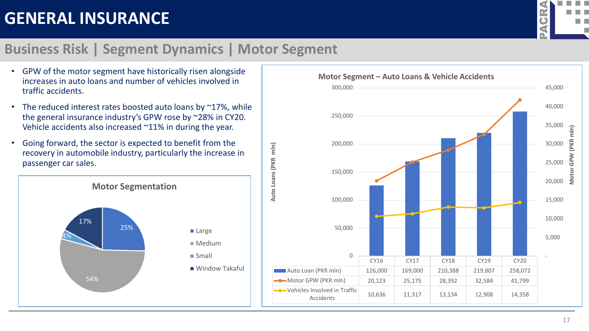

#### **Business Risk | Segment Dynamics | Motor Segment**

**Auto Loans (PKR mln)**

Auto Loans (PKR mln)

- **Motor Segment – Auto Loans & Vehicle Accidents** GPW of the motor segment have historically risen alongside increases in auto loans and number of vehicles involved in traffic accidents.
- The reduced interest rates boosted auto loans by  $\approx$  17%, while the general insurance industry's GPW rose by ~28% in CY20. Vehicle accidents also increased ~11% in during the year.
- Going forward, the sector is expected to benefit from the recovery in automobile industry, particularly the increase in passenger car sales.



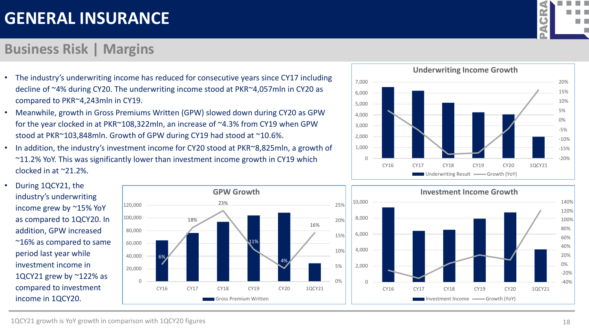### **Business Risk | Margins**

- The industry's underwriting income has reduced for consecutive years since CY17 including decline of ~4% during CY20. The underwriting income stood at PKR~4,057mln in CY20 as compared to PKR~4,243mln in CY19.
- Meanwhile, growth in Gross Premiums Written (GPW) slowed down during CY20 as GPW for the year clocked in at PKR~108,322mln, an increase of ~4.3% from CY19 when GPW stood at PKR~103,848mln. Growth of GPW during CY19 had stood at ~10.6%.
- In addition, the industry's investment income for CY20 stood at PKR~8,825mln, a growth of ~11.2% YoY. This was significantly lower than investment income growth in CY19 which clocked in at ~21.2%.









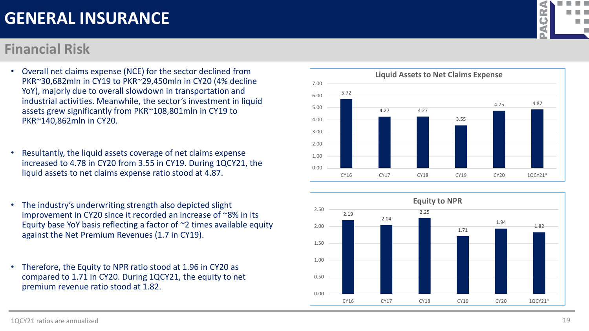1QCY21 ratios are annualized

### **GENERAL INSURANCE**

#### **Financial Risk**

- Overall net claims expense (NCE) for the sector declined from PKR~30,682mln in CY19 to PKR~29,450mln in CY20 (4% decline YoY), majorly due to overall slowdown in transportation and industrial activities. Meanwhile, the sector's investment in liquid assets grew significantly from PKR~108,801mln in CY19 to PKR~140,862mln in CY20.
- Resultantly, the liquid assets coverage of net claims expense increased to 4.78 in CY20 from 3.55 in CY19. During 1QCY21, the liquid assets to net claims expense ratio stood at 4.87.
- The industry's underwriting strength also depicted slight improvement in CY20 since it recorded an increase of ~8% in its Equity base YoY basis reflecting a factor of  $\sim$ 2 times available equity against the Net Premium Revenues (1.7 in CY19).
- Therefore, the Equity to NPR ratio stood at 1.96 in CY20 as compared to 1.71 in CY20. During 1QCY21, the equity to net premium revenue ratio stood at 1.82.





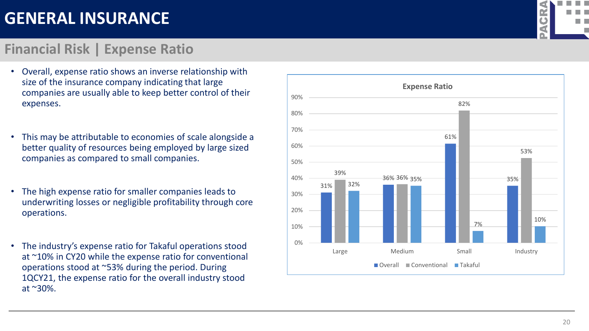#### **Financial Risk | Expense Ratio**

- Overall, expense ratio shows an inverse relationship with size of the insurance company indicating that large companies are usually able to keep better control of their expenses.
- This may be attributable to economies of scale alongside a better quality of resources being employed by large sized companies as compared to small companies.
- The high expense ratio for smaller companies leads to underwriting losses or negligible profitability through core operations.
- The industry's expense ratio for Takaful operations stood at ~10% in CY20 while the expense ratio for conventional operations stood at ~53% during the period. During 1QCY21, the expense ratio for the overall industry stood at ~30%.



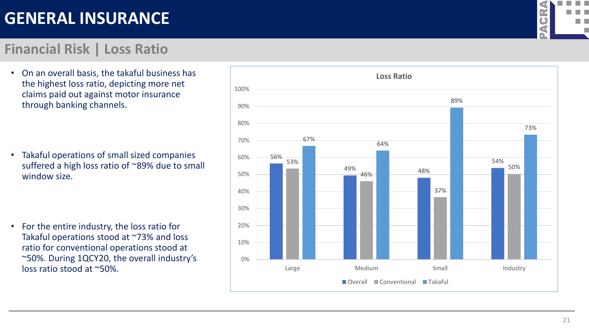#### **Financial Risk | Loss Ratio**

• On an overall basis, the takaful business has the highest loss ratio, depicting more net claims paid out against motor insurance through banking channels.

• Takaful operations of small sized companies suffered a high loss ratio of ~89% due to small window size.

• For the entire industry, the loss ratio for Takaful operations stood at ~73% and loss ratio for conventional operations stood at ~50%. During 1QCY20, the overall industry's loss ratio stood at ~50%.



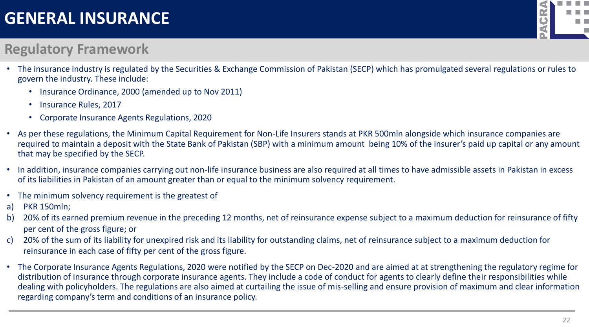

#### **Regulatory Framework**

- The insurance industry is regulated by the Securities & Exchange Commission of Pakistan (SECP) which has promulgated several regulations or rules to govern the industry. These include:
	- Insurance Ordinance, 2000 (amended up to Nov 2011)
	- Insurance Rules, 2017
	- Corporate Insurance Agents Regulations, 2020
- As per these regulations, the Minimum Capital Requirement for Non-Life Insurers stands at PKR 500mln alongside which insurance companies are required to maintain a deposit with the State Bank of Pakistan (SBP) with a minimum amount being 10% of the insurer's paid up capital or any amount that may be specified by the SECP.
- In addition, insurance companies carrying out non-life insurance business are also required at all times to have admissible assets in Pakistan in excess of its liabilities in Pakistan of an amount greater than or equal to the minimum solvency requirement.
- The minimum solvency requirement is the greatest of
- a) PKR 150mln;
- b) 20% of its earned premium revenue in the preceding 12 months, net of reinsurance expense subject to a maximum deduction for reinsurance of fifty per cent of the gross figure; or
- c) 20% of the sum of its liability for unexpired risk and its liability for outstanding claims, net of reinsurance subject to a maximum deduction for reinsurance in each case of fifty per cent of the gross figure.
- The Corporate Insurance Agents Regulations, 2020 were notified by the SECP on Dec-2020 and are aimed at at strengthening the regulatory regime for distribution of insurance through corporate insurance agents. They include a code of conduct for agents to clearly define their responsibilities while dealing with policyholders. The regulations are also aimed at curtailing the issue of mis-selling and ensure provision of maximum and clear information regarding company's term and conditions of an insurance policy.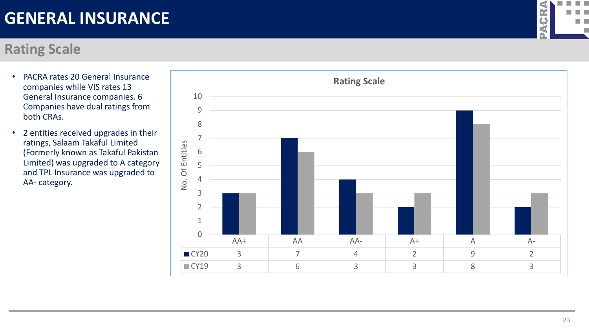#### **Rating Scale**

- PACRA rates 20 General Insurance companies while VIS rates 13 General Insurance companies. 6 Companies have dual ratings from both CRAs.
- 2 entities received upgrades in their ratings, Salaam Takaful Limited (Formerly known as Takaful Pakistan Limited) was upgraded to A category and TPL Insurance was upgraded to AA - category.



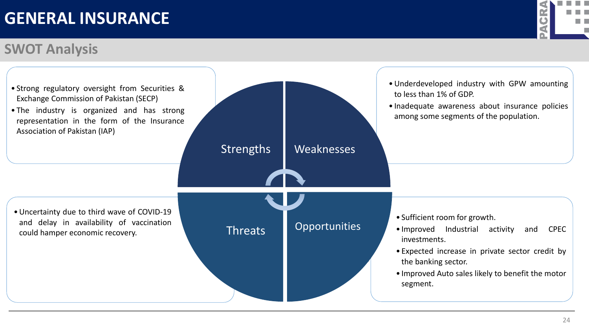### **SWOT Analysis**



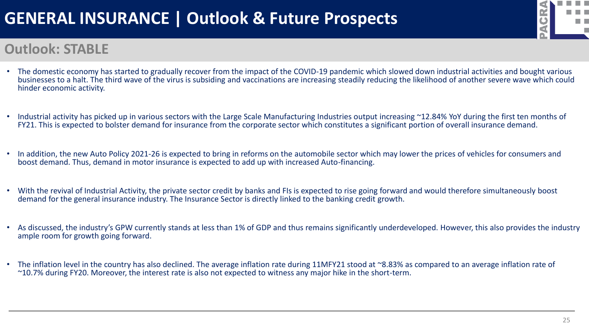# **GENERAL INSURANCE | Outlook & Future Prospects**



#### **Outlook: STABLE**

- The domestic economy has started to gradually recover from the impact of the COVID-19 pandemic which slowed down industrial activities and bought various businesses to a halt. The third wave of the virus is subsiding and vaccinations are increasing steadily reducing the likelihood of another severe wave which could hinder economic activity.
- Industrial activity has picked up in various sectors with the Large Scale Manufacturing Industries output increasing ~12.84% YoY during the first ten months of FY21. This is expected to bolster demand for insurance from the corporate sector which constitutes a significant portion of overall insurance demand.
- In addition, the new Auto Policy 2021-26 is expected to bring in reforms on the automobile sector which may lower the prices of vehicles for consumers and boost demand. Thus, demand in motor insurance is expected to add up with increased Auto-financing.
- With the revival of Industrial Activity, the private sector credit by banks and FIs is expected to rise going forward and would therefore simultaneously boost demand for the general insurance industry. The Insurance Sector is directly linked to the banking credit growth.
- As discussed, the industry's GPW currently stands at less than 1% of GDP and thus remains significantly underdeveloped. However, this also provides the industry ample room for growth going forward.
- The inflation level in the country has also declined. The average inflation rate during 11MFY21 stood at ~8.83% as compared to an average inflation rate of ~10.7% during FY20. Moreover, the interest rate is also not expected to witness any major hike in the short-term.